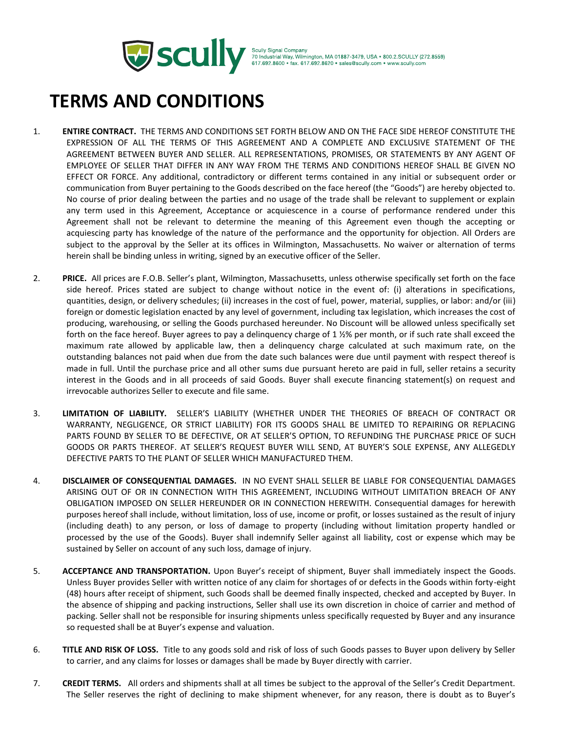

Scully Signal Company<br>70 Industrial Way, Wilmington, MA 01887-3479, USA ● 800.2.SCULLY (272.8559)<br>617.692.8600 ● fax. 617.692.8620 ● sales@scully.com ● www.scully.com

## **TERMS AND CONDITIONS**

- 1. **ENTIRE CONTRACT.** THE TERMS AND CONDITIONS SET FORTH BELOW AND ON THE FACE SIDE HEREOF CONSTITUTE THE EXPRESSION OF ALL THE TERMS OF THIS AGREEMENT AND A COMPLETE AND EXCLUSIVE STATEMENT OF THE AGREEMENT BETWEEN BUYER AND SELLER. ALL REPRESENTATIONS, PROMISES, OR STATEMENTS BY ANY AGENT OF EMPLOYEE OF SELLER THAT DIFFER IN ANY WAY FROM THE TERMS AND CONDITIONS HEREOF SHALL BE GIVEN NO EFFECT OR FORCE. Any additional, contradictory or different terms contained in any initial or subsequent order or communication from Buyer pertaining to the Goods described on the face hereof (the "Goods") are hereby objected to. No course of prior dealing between the parties and no usage of the trade shall be relevant to supplement or explain any term used in this Agreement, Acceptance or acquiescence in a course of performance rendered under this Agreement shall not be relevant to determine the meaning of this Agreement even though the accepting or acquiescing party has knowledge of the nature of the performance and the opportunity for objection. All Orders are subject to the approval by the Seller at its offices in Wilmington, Massachusetts. No waiver or alternation of terms herein shall be binding unless in writing, signed by an executive officer of the Seller.
- 2. **PRICE.** All prices are F.O.B. Seller's plant, Wilmington, Massachusetts, unless otherwise specifically set forth on the face side hereof. Prices stated are subject to change without notice in the event of: (i) alterations in specifications, quantities, design, or delivery schedules; (ii) increases in the cost of fuel, power, material, supplies, or labor: and/or (iii) foreign or domestic legislation enacted by any level of government, including tax legislation, which increases the cost of producing, warehousing, or selling the Goods purchased hereunder. No Discount will be allowed unless specifically set forth on the face hereof. Buyer agrees to pay a delinquency charge of 1 1/2% per month, or if such rate shall exceed the maximum rate allowed by applicable law, then a delinquency charge calculated at such maximum rate, on the outstanding balances not paid when due from the date such balances were due until payment with respect thereof is made in full. Until the purchase price and all other sums due pursuant hereto are paid in full, seller retains a security interest in the Goods and in all proceeds of said Goods. Buyer shall execute financing statement(s) on request and irrevocable authorizes Seller to execute and file same.
- 3. **LIMITATION OF LIABILITY.** SELLER'S LIABILITY (WHETHER UNDER THE THEORIES OF BREACH OF CONTRACT OR WARRANTY, NEGLIGENCE, OR STRICT LIABILITY) FOR ITS GOODS SHALL BE LIMITED TO REPAIRING OR REPLACING PARTS FOUND BY SELLER TO BE DEFECTIVE, OR AT SELLER'S OPTION, TO REFUNDING THE PURCHASE PRICE OF SUCH GOODS OR PARTS THEREOF. AT SELLER'S REQUEST BUYER WILL SEND, AT BUYER'S SOLE EXPENSE, ANY ALLEGEDLY DEFECTIVE PARTS TO THE PLANT OF SELLER WHICH MANUFACTURED THEM.
- 4. **DISCLAIMER OF CONSEQUENTIAL DAMAGES.** IN NO EVENT SHALL SELLER BE LIABLE FOR CONSEQUENTIAL DAMAGES ARISING OUT OF OR IN CONNECTION WITH THIS AGREEMENT, INCLUDING WITHOUT LIMITATION BREACH OF ANY OBLIGATION IMPOSED ON SELLER HEREUNDER OR IN CONNECTION HEREWITH. Consequential damages for herewith purposes hereof shall include, without limitation, loss of use, income or profit, or losses sustained as the result of injury (including death) to any person, or loss of damage to property (including without limitation property handled or processed by the use of the Goods). Buyer shall indemnify Seller against all liability, cost or expense which may be sustained by Seller on account of any such loss, damage of injury.
- 5. **ACCEPTANCE AND TRANSPORTATION.** Upon Buyer's receipt of shipment, Buyer shall immediately inspect the Goods. Unless Buyer provides Seller with written notice of any claim for shortages of or defects in the Goods within forty-eight (48) hours after receipt of shipment, such Goods shall be deemed finally inspected, checked and accepted by Buyer. In the absence of shipping and packing instructions, Seller shall use its own discretion in choice of carrier and method of packing. Seller shall not be responsible for insuring shipments unless specifically requested by Buyer and any insurance so requested shall be at Buyer's expense and valuation.
- 6. **TITLE AND RISK OF LOSS.** Title to any goods sold and risk of loss of such Goods passes to Buyer upon delivery by Seller to carrier, and any claims for losses or damages shall be made by Buyer directly with carrier.
- 7. **CREDIT TERMS.** All orders and shipments shall at all times be subject to the approval of the Seller's Credit Department. The Seller reserves the right of declining to make shipment whenever, for any reason, there is doubt as to Buyer's